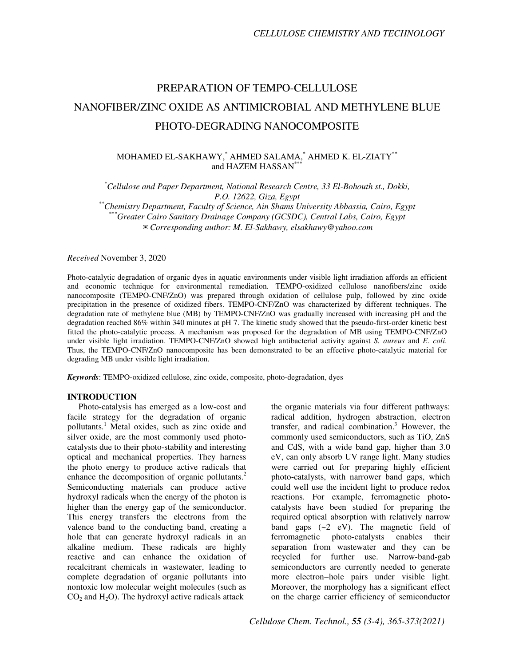# PREPARATION OF TEMPO-CELLULOSE NANOFIBER/ZINC OXIDE AS ANTIMICROBIAL AND METHYLENE BLUE PHOTO-DEGRADING NANOCOMPOSITE

# MOHAMED EL-SAKHAWY,\* AHMED SALAMA,\* AHMED K. EL-ZIATY\*\* and HAZEM HASSAN<sup>\*</sup>

*\*Cellulose and Paper Department, National Research Centre, 33 El-Bohouth st., Dokki, P.O. 12622, Giza, Egypt \*\*Chemistry Department, Faculty of Science, Ain Shams University Abbassia, Cairo, Egypt \*\*\*Greater Cairo Sanitary Drainage Company (GCSDC), Central Labs, Cairo, Egypt*  ✉*Corresponding author: M. El-Sakhawy, elsakhawy@yahoo.com* 

*Received* November 3, 2020

Photo-catalytic degradation of organic dyes in aquatic environments under visible light irradiation affords an efficient and economic technique for environmental remediation. TEMPO-oxidized cellulose nanofibers/zinc oxide nanocomposite (TEMPO-CNF/ZnO) was prepared through oxidation of cellulose pulp, followed by zinc oxide precipitation in the presence of oxidized fibers. TEMPO-CNF/ZnO was characterized by different techniques. The degradation rate of methylene blue (MB) by TEMPO-CNF/ZnO was gradually increased with increasing pH and the degradation reached 86% within 340 minutes at pH 7. The kinetic study showed that the pseudo-first-order kinetic best fitted the photo-catalytic process. A mechanism was proposed for the degradation of MB using TEMPO-CNF/ZnO under visible light irradiation. TEMPO-CNF/ZnO showed high antibacterial activity against *S. aureus* and *E. coli*. Thus, the TEMPO-CNF/ZnO nanocomposite has been demonstrated to be an effective photo-catalytic material for degrading MB under visible light irradiation.

*Keywords*: TEMPO-oxidized cellulose, zinc oxide, composite, photo-degradation, dyes

## **INTRODUCTION**

Photo-catalysis has emerged as a low-cost and facile strategy for the degradation of organic pollutants.<sup>1</sup> Metal oxides, such as zinc oxide and silver oxide, are the most commonly used photocatalysts due to their photo-stability and interesting optical and mechanical properties. They harness the photo energy to produce active radicals that enhance the decomposition of organic pollutants.<sup>2</sup> Semiconducting materials can produce active hydroxyl radicals when the energy of the photon is higher than the energy gap of the semiconductor. This energy transfers the electrons from the valence band to the conducting band, creating a hole that can generate hydroxyl radicals in an alkaline medium. These radicals are highly reactive and can enhance the oxidation of recalcitrant chemicals in wastewater, leading to complete degradation of organic pollutants into nontoxic low molecular weight molecules (such as  $CO<sub>2</sub>$  and H<sub>2</sub>O). The hydroxyl active radicals attack

the organic materials via four different pathways: radical addition, hydrogen abstraction, electron transfer, and radical combination.<sup>3</sup> However, the commonly used semiconductors, such as TiO, ZnS and CdS, with a wide band gap, higher than 3.0 eV, can only absorb UV range light. Many studies were carried out for preparing highly efficient photo-catalysts, with narrower band gaps, which could well use the incident light to produce redox reactions. For example, ferromagnetic photocatalysts have been studied for preparing the required optical absorption with relatively narrow band gaps  $(-2 \text{ eV})$ . The magnetic field of ferromagnetic photo-catalysts enables their separation from wastewater and they can be recycled for further use. Narrow-band-gab semiconductors are currently needed to generate more electron−hole pairs under visible light. Moreover, the morphology has a significant effect on the charge carrier efficiency of semiconductor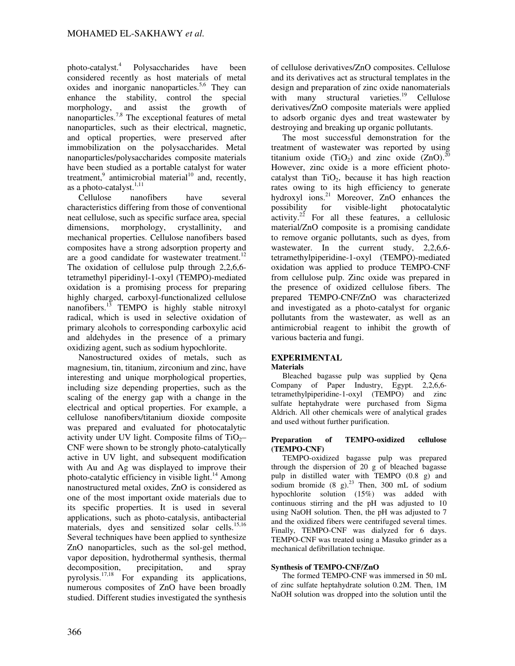photo-catalyst.<sup>4</sup> Polysaccharides have been considered recently as host materials of metal oxides and inorganic nanoparticles.<sup>5,6</sup> They can enhance the stability, control the special morphology, and assist the growth of nanoparticles.7,8 The exceptional features of metal nanoparticles, such as their electrical, magnetic, and optical properties, were preserved after immobilization on the polysaccharides. Metal nanoparticles/polysaccharides composite materials have been studied as a portable catalyst for water treatment, $9$  antimicrobial material<sup>10</sup> and, recently, as a photo-catalyst. $^{1,11}$ 

Cellulose nanofibers have several characteristics differing from those of conventional neat cellulose, such as specific surface area, special dimensions, morphology, crystallinity, and mechanical properties. Cellulose nanofibers based composites have a strong adsorption property and are a good candidate for wastewater treatment.<sup>12</sup> The oxidation of cellulose pulp through 2,2,6,6 tetramethyl piperidinyl-1-oxyl (TEMPO)-mediated oxidation is a promising process for preparing highly charged, carboxyl-functionalized cellulose nanofibers. $13$  TEMPO is highly stable nitroxyl radical, which is used in selective oxidation of primary alcohols to corresponding carboxylic acid and aldehydes in the presence of a primary oxidizing agent, such as sodium hypochlorite.

Nanostructured oxides of metals, such as magnesium, tin, titanium, zirconium and zinc, have interesting and unique morphological properties, including size depending properties, such as the scaling of the energy gap with a change in the electrical and optical properties. For example, a cellulose nanofibers/titanium dioxide composite was prepared and evaluated for photocatalytic activity under UV light. Composite films of  $TiO<sub>2</sub>$ – CNF were shown to be strongly photo-catalytically active in UV light, and subsequent modification with Au and Ag was displayed to improve their photo-catalytic efficiency in visible light.<sup>14</sup> Among nanostructured metal oxides, ZnO is considered as one of the most important oxide materials due to its specific properties. It is used in several applications, such as photo-catalysis, antibacterial materials, dyes and sensitized solar cells.<sup>15,16</sup> Several techniques have been applied to synthesize ZnO nanoparticles, such as the sol-gel method, vapor deposition, hydrothermal synthesis, thermal decomposition, precipitation, and spray pyrolysis.17,18 For expanding its applications, numerous composites of ZnO have been broadly studied. Different studies investigated the synthesis of cellulose derivatives/ZnO composites. Cellulose and its derivatives act as structural templates in the design and preparation of zinc oxide nanomaterials with many structural varieties.<sup>19</sup> Cellulose derivatives/ZnO composite materials were applied to adsorb organic dyes and treat wastewater by destroying and breaking up organic pollutants.

The most successful demonstration for the treatment of wastewater was reported by using titanium oxide (TiO<sub>2</sub>) and zinc oxide (ZnO).<sup>20</sup> However, zinc oxide is a more efficient photocatalyst than  $TiO<sub>2</sub>$ , because it has high reaction rates owing to its high efficiency to generate hydroxyl ions.<sup>21</sup> Moreover, ZnO enhances the possibility for visible-light photocatalytic  $\arctivity.<sup>22</sup>$  For all these features, a cellulosic material/ZnO composite is a promising candidate to remove organic pollutants, such as dyes, from wastewater. In the current study, 2,2,6,6tetramethylpiperidine-1-oxyl (TEMPO)-mediated oxidation was applied to produce TEMPO-CNF from cellulose pulp. Zinc oxide was prepared in the presence of oxidized cellulose fibers. The prepared TEMPO-CNF/ZnO was characterized and investigated as a photo-catalyst for organic pollutants from the wastewater, as well as an antimicrobial reagent to inhibit the growth of various bacteria and fungi.

# **EXPERIMENTAL**

# **Materials**

Bleached bagasse pulp was supplied by Qena Company of Paper Industry, Egypt. 2,2,6,6 tetramethylpiperidine-1-oxyl (TEMPO) and zinc sulfate heptahydrate were purchased from Sigma Aldrich. All other chemicals were of analytical grades and used without further purification.

#### **Preparation of TEMPO-oxidized cellulose (TEMPO-CNF)**

TEMPO-oxidized bagasse pulp was prepared through the dispersion of 20 g of bleached bagasse pulp in distilled water with TEMPO (0.8 g) and sodium bromide  $(8 \text{ g})$ .<sup>23</sup> Then, 300 mL of sodium hypochlorite solution (15%) was added with continuous stirring and the pH was adjusted to 10 using NaOH solution. Then, the pH was adjusted to 7 and the oxidized fibers were centrifuged several times. Finally, TEMPO-CNF was dialyzed for 6 days. TEMPO-CNF was treated using a Masuko grinder as a mechanical defibrillation technique.

#### **Synthesis of TEMPO-CNF/ZnO**

The formed TEMPO-CNF was immersed in 50 mL of zinc sulfate heptahydrate solution 0.2M. Then, 1M NaOH solution was dropped into the solution until the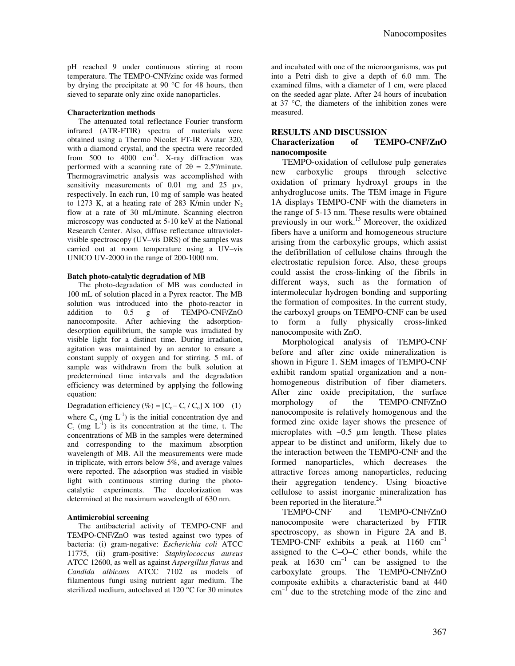pH reached 9 under continuous stirring at room temperature. The TEMPO-CNF/zinc oxide was formed by drying the precipitate at 90 °C for 48 hours, then sieved to separate only zinc oxide nanoparticles.

#### **Characterization methods**

The attenuated total reflectance Fourier transform infrared (ATR-FTIR) spectra of materials were obtained using a Thermo Nicolet FT-IR Avatar 320, with a diamond crystal, and the spectra were recorded from 500 to 4000  $cm^{-1}$ . X-ray diffraction was performed with a scanning rate of  $2\theta = 2.5^{\circ}/$ minute. Thermogravimetric analysis was accomplished with sensitivity measurements of 0.01 mg and 25  $\mu$ v, respectively. In each run, 10 mg of sample was heated to 1273 K, at a heating rate of 283 K/min under  $N_2$ flow at a rate of 30 mL/minute. Scanning electron microscopy was conducted at 5-10 keV at the National Research Center. Also, diffuse reflectance ultravioletvisible spectroscopy (UV–vis DRS) of the samples was carried out at room temperature using a UV–vis UNICO UV-2000 in the range of 200-1000 nm.

#### **Batch photo-catalytic degradation of MB**

The photo-degradation of MB was conducted in 100 mL of solution placed in a Pyrex reactor. The MB solution was introduced into the photo-reactor in addition to  $0.5$  g of TEMPO-CNF/ZnO addition to 0.5 g of TEMPO-CNF/ZnO nanocomposite. After achieving the adsorptiondesorption equilibrium, the sample was irradiated by visible light for a distinct time. During irradiation, agitation was maintained by an aerator to ensure a constant supply of oxygen and for stirring. 5 mL of sample was withdrawn from the bulk solution at predetermined time intervals and the degradation efficiency was determined by applying the following equation:

Degradation efficiency (%) =  $[C_o - C_t / C_o] \times 100$  (1)

where  $C_0$  (mg  $L^{-1}$ ) is the initial concentration dye and  $C_t$  (mg  $L^{-1}$ ) is its concentration at the time, t. The concentrations of MB in the samples were determined and corresponding to the maximum absorption wavelength of MB. All the measurements were made in triplicate, with errors below 5%, and average values were reported. The adsorption was studied in visible light with continuous stirring during the photocatalytic experiments. The decolorization was determined at the maximum wavelength of 630 nm.

#### **Antimicrobial screening**

The antibacterial activity of TEMPO-CNF and TEMPO-CNF/ZnO was tested against two types of bacteria: (i) gram-negative: *Escherichia coli* ATCC 11775, (ii) gram-positive: *Staphylococcus aureus*  ATCC 12600, as well as against *Aspergillus flavus* and *Candida albicans* ATCC 7102 as models of filamentous fungi using nutrient agar medium. The sterilized medium, autoclaved at 120 °C for 30 minutes

and incubated with one of the microorganisms, was put into a Petri dish to give a depth of 6.0 mm. The examined films, with a diameter of 1 cm, were placed on the seeded agar plate. After 24 hours of incubation at 37 °C, the diameters of the inhibition zones were measured.

## **RESULTS AND DISCUSSION**

# **Characterization of TEMPO-CNF/ZnO nanocomposite**

TEMPO-oxidation of cellulose pulp generates new carboxylic groups through selective oxidation of primary hydroxyl groups in the anhydroglucose units. The TEM image in Figure 1A displays TEMPO-CNF with the diameters in the range of 5-13 nm. These results were obtained previously in our work.<sup>13</sup> Moreover, the oxidized fibers have a uniform and homogeneous structure arising from the carboxylic groups, which assist the defibrillation of cellulose chains through the electrostatic repulsion force. Also, these groups could assist the cross-linking of the fibrils in different ways, such as the formation of intermolecular hydrogen bonding and supporting the formation of composites. In the current study, the carboxyl groups on TEMPO-CNF can be used to form a fully physically cross-linked nanocomposite with ZnO.

Morphological analysis of TEMPO-CNF before and after zinc oxide mineralization is shown in Figure 1. SEM images of TEMPO-CNF exhibit random spatial organization and a nonhomogeneous distribution of fiber diameters. After zinc oxide precipitation, the surface morphology of the TEMPO-CNF/ZnO nanocomposite is relatively homogenous and the formed zinc oxide layer shows the presence of microplates with ~0.5 µm length. These plates appear to be distinct and uniform, likely due to the interaction between the TEMPO-CNF and the formed nanoparticles, which decreases the attractive forces among nanoparticles, reducing their aggregation tendency. Using bioactive cellulose to assist inorganic mineralization has been reported in the literature.<sup>24</sup>

TEMPO-CNF and TEMPO-CNF/ZnO nanocomposite were characterized by FTIR spectroscopy, as shown in Figure 2A and B. TEMPO-CNF exhibits a peak at  $1160 \text{ cm}^{-1}$ assigned to the C–O–C ether bonds, while the peak at 1630 cm−1 can be assigned to the carboxylate groups. The TEMPO-CNF/ZnO composite exhibits a characteristic band at 440  $\text{cm}^{-1}$  due to the stretching mode of the zinc and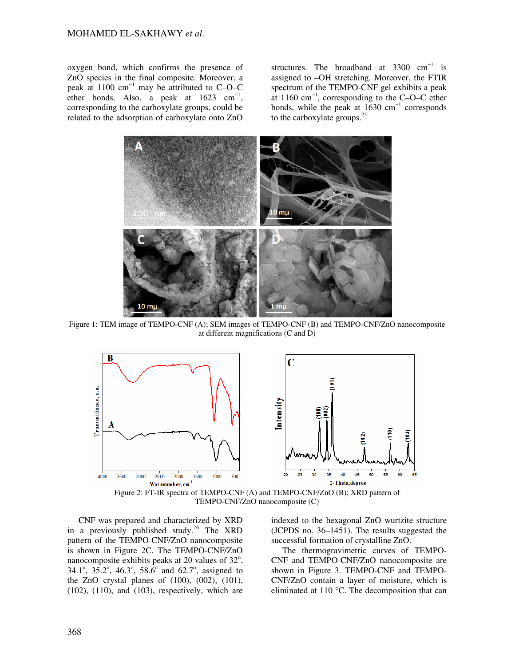oxygen bond, which confirms the presence of ZnO species in the final composite. Moreover, a peak at 1100  $\text{cm}^{-1}$  may be attributed to C–O–C ether bonds. Also, a peak at  $1623 \text{ cm}^{-1}$ , corresponding to the carboxylate groups, could be related to the adsorption of carboxylate onto ZnO

structures. The broadband at  $3300 \text{ cm}^{-1}$  is assigned to –OH stretching. Moreover, the FTIR spectrum of the TEMPO-CNF gel exhibits a peak at 1160 cm−1, corresponding to the C–O–C ether bonds, while the peak at  $1630 \text{ cm}^{-1}$  corresponds to the carboxylate groups.<sup>25</sup>



Figure 1: TEM image of TEMPO-CNF (A); SEM images of TEMPO-CNF (B) and TEMPO-CNF/ZnO nanocomposite at different magnifications (C and D)



Figure 2: FT-IR spectra of TEMPO-CNF (A) and TEMPO-CNF/ZnO (B); XRD pattern of TEMPO-CNF/ZnO nanocomposite (C)

CNF was prepared and characterized by XRD in a previously published study.<sup>26</sup> The XRD pattern of the TEMPO-CNF/ZnO nanocomposite is shown in Figure 2C. The TEMPO-CNF/ZnO nanocomposite exhibits peaks at  $2\theta$  values of  $32^\circ$ , 34.1°, 35.2°, 46.3°, 58.6° and 62.7°, assigned to the ZnO crystal planes of (100), (002), (101),  $(102)$ ,  $(110)$ , and  $(103)$ , respectively, which are

indexed to the hexagonal ZnO wurtzite structure (JCPDS no. 36–1451). The results suggested the successful formation of crystalline ZnO.

The thermogravimetric curves of TEMPO-CNF and TEMPO-CNF/ZnO nanocomposite are shown in Figure 3. TEMPO-CNF and TEMPO-CNF/ZnO contain a layer of moisture, which is eliminated at 110 °C. The decomposition that can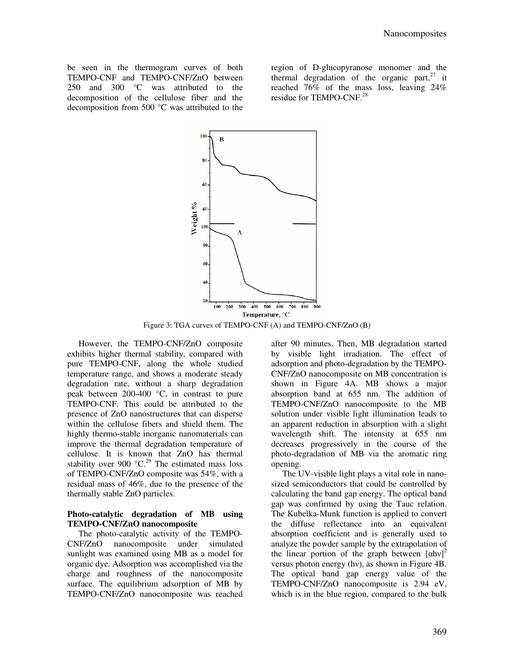be seen in the thermogram curves of both TEMPO-CNF and TEMPO-CNF/ZnO between 250 and 300 °C was attributed to the decomposition of the cellulose fiber and the decomposition from 500 °C was attributed to the

region of D-glucopyranose monomer and the thermal degradation of the organic part, $27$  it reached 76% of the mass loss, leaving 24% residue for TEMPO-CNF.<sup>28</sup>



Figure 3: TGA curves of TEMPO-CNF (A) and TEMPO-CNF/ZnO (B)

However, the TEMPO-CNF/ZnO composite exhibits higher thermal stability, compared with pure TEMPO-CNF, along the whole studied temperature range, and shows a moderate steady degradation rate, without a sharp degradation peak between 200-400 °C, in contrast to pure TEMPO-CNF. This could be attributed to the presence of ZnO nanostructures that can disperse within the cellulose fibers and shield them. The highly thermo-stable inorganic nanomaterials can improve the thermal degradation temperature of cellulose. It is known that ZnO has thermal stability over 900  $^{\circ}$ C.<sup>29</sup> The estimated mass loss of TEMPO-CNF/ZnO composite was 54%, with a residual mass of 46%, due to the presence of the thermally stable ZnO particles.

## **Photo-catalytic degradation of MB using TEMPO-CNF/ZnO nanocomposite**

The photo-catalytic activity of the TEMPO-CNF/ZnO nanocomposite under simulated sunlight was examined using MB as a model for organic dye. Adsorption was accomplished via the charge and roughness of the nanocomposite surface. The equilibrium adsorption of MB by TEMPO-CNF/ZnO nanocomposite was reached after 90 minutes. Then, MB degradation started by visible light irradiation. The effect of adsorption and photo-degradation by the TEMPO-CNF/ZnO nanocomposite on MB concentration is shown in Figure 4A. MB shows a major absorption band at 655 nm. The addition of TEMPO-CNF/ZnO nanocomposite to the MB solution under visible light illumination leads to an apparent reduction in absorption with a slight wavelength shift. The intensity at 655 nm decreases progressively in the course of the photo-degradation of MB via the aromatic ring opening.

The UV-visible light plays a vital role in nanosized semiconductors that could be controlled by calculating the band gap energy. The optical band gap was confirmed by using the Tauc relation. The Kubelka-Munk function is applied to convert the diffuse reflectance into an equivalent absorption coefficient and is generally used to analyze the powder sample by the extrapolation of the linear portion of the graph between [αhν] 2 versus photon energy (hν), as shown in Figure 4B. The optical band gap energy value of the TEMPO-CNF/ZnO nanocomposite is 2.94 eV, which is in the blue region, compared to the bulk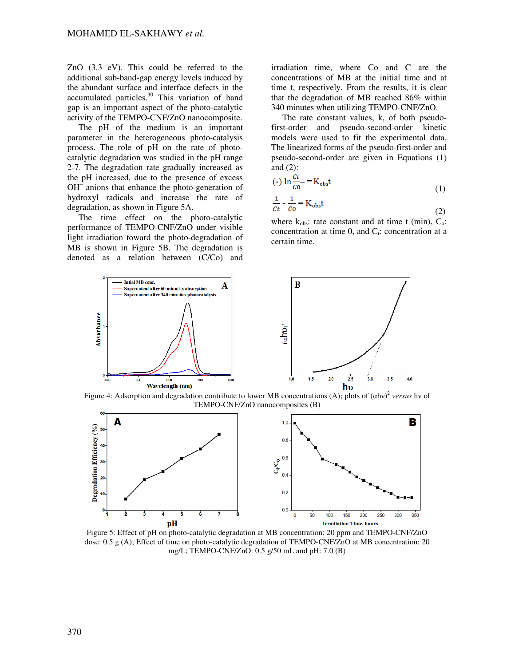ZnO (3.3 eV). This could be referred to the additional sub-band-gap energy levels induced by the abundant surface and interface defects in the accumulated particles.<sup>30</sup> This variation of band gap is an important aspect of the photo-catalytic activity of the TEMPO-CNF/ZnO nanocomposite.

The pH of the medium is an important parameter in the heterogeneous photo-catalysis process. The role of pH on the rate of photocatalytic degradation was studied in the pH range 2-7. The degradation rate gradually increased as the pH increased, due to the presence of excess OH<sup>-</sup> anions that enhance the photo-generation of hydroxyl radicals and increase the rate of degradation, as shown in Figure 5A.

The time effect on the photo-catalytic performance of TEMPO-CNF/ZnO under visible light irradiation toward the photo-degradation of MB is shown in Figure 5B. The degradation is denoted as a relation between (C/Co) and

irradiation time, where Co and C are the concentrations of MB at the initial time and at time t, respectively. From the results, it is clear that the degradation of MB reached 86% within 340 minutes when utilizing TEMPO-CNF/ZnO.

The rate constant values, k, of both pseudofirst-order and pseudo-second-order kinetic models were used to fit the experimental data. The linearized forms of the pseudo-first-order and pseudo-second-order are given in Equations (1) and (2):

$$
(\text{-}) \ln \frac{ct}{c_0} = \text{K}_{\text{obs}}t \tag{1}
$$
\n
$$
\frac{1}{ct} - \frac{1}{c_0} = \text{K}_{\text{obs}}t \tag{2}
$$

 (2) where  $k_{obs}$ : rate constant and at time t (min),  $C_0$ : concentration at time  $0$ , and  $C_t$ : concentration at a certain time.

 $4.0$ 



Figure 4: Adsorption and degradation contribute to lower MB concentrations (A); plots of (αhν) 2 *versus* hν of TEMPO-CNF/ZnO nanocomposites (B)



Figure 5: Effect of pH on photo-catalytic degradation at MB concentration: 20 ppm and TEMPO-CNF/ZnO dose: 0.5 g (A); Effect of time on photo-catalytic degradation of TEMPO-CNF/ZnO at MB concentration: 20 mg/L; TEMPO-CNF/ZnO: 0.5 g/50 mL and pH: 7.0 (B)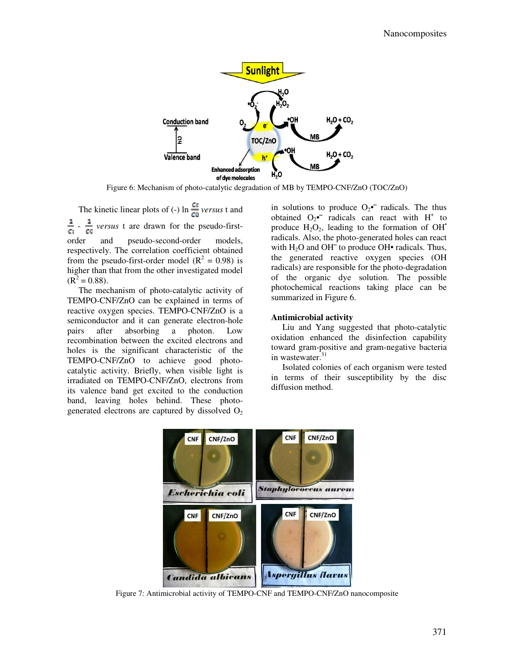

Figure 6: Mechanism of photo-catalytic degradation of MB by TEMPO-CNF/ZnO (TOC/ZnO)

The kinetic linear plots of (-)  $\ln \frac{c_0}{c_0}$  versus t and  $\frac{1}{c_1}$  -  $\frac{1}{c_2}$  versus t are drawn for the pseudo-firstorder and pseudo-second-order models, respectively. The correlation coefficient obtained from the pseudo-first-order model ( $R^2 = 0.98$ ) is higher than that from the other investigated model  $(R^2 = 0.88)$ .

The mechanism of photo-catalytic activity of TEMPO-CNF/ZnO can be explained in terms of reactive oxygen species. TEMPO-CNF/ZnO is a semiconductor and it can generate electron-hole pairs after absorbing a photon. Low recombination between the excited electrons and holes is the significant characteristic of the TEMPO-CNF/ZnO to achieve good photocatalytic activity. Briefly, when visible light is irradiated on TEMPO-CNF/ZnO, electrons from its valence band get excited to the conduction band, leaving holes behind. These photogenerated electrons are captured by dissolved  $O<sub>2</sub>$  in solutions to produce  $O_2$ • radicals. The thus obtained  $O_2$ • radicals can react with H<sup>+</sup> to produce  $H_2O_2$ , leading to the formation of OH<sup>\*</sup> radicals. Also, the photo-generated holes can react with  $H_2O$  and OH<sup> $-$ </sup> to produce OH $\bullet$  radicals. Thus, the generated reactive oxygen species (OH radicals) are responsible for the photo-degradation of the organic dye solution. The possible photochemical reactions taking place can be summarized in Figure 6.

## **Antimicrobial activity**

Liu and Yang suggested that photo-catalytic oxidation enhanced the disinfection capability toward gram-positive and gram-negative bacteria in wastewater.<sup>31</sup>

Isolated colonies of each organism were tested in terms of their susceptibility by the disc diffusion method.



Figure 7: Antimicrobial activity of TEMPO-CNF and TEMPO-CNF/ZnO nanocomposite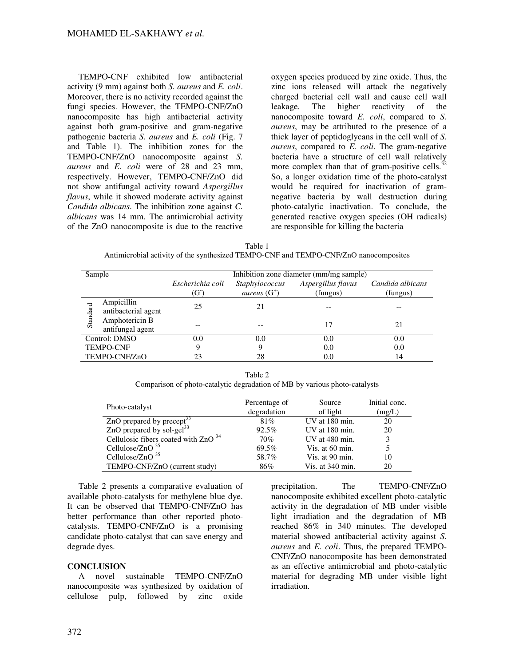TEMPO-CNF exhibited low antibacterial activity (9 mm) against both *S. aureus* and *E. coli*. Moreover, there is no activity recorded against the fungi species. However, the TEMPO-CNF/ZnO nanocomposite has high antibacterial activity against both gram-positive and gram-negative pathogenic bacteria *S. aureus* and *E. coli* (Fig. 7 and Table 1). The inhibition zones for the TEMPO-CNF/ZnO nanocomposite against *S. aureus* and *E. coli* were of 28 and 23 mm, respectively. However, TEMPO-CNF/ZnO did not show antifungal activity toward *Aspergillus flavus*, while it showed moderate activity against *Candida albicans*. The inhibition zone against *C. albicans* was 14 mm. The antimicrobial activity of the ZnO nanocomposite is due to the reactive

oxygen species produced by zinc oxide. Thus, the zinc ions released will attack the negatively charged bacterial cell wall and cause cell wall leakage. The higher reactivity of the nanocomposite toward *E. coli*, compared to *S. aureus*, may be attributed to the presence of a thick layer of peptidoglycans in the cell wall of *S. aureus*, compared to *E. coli*. The gram-negative bacteria have a structure of cell wall relatively more complex than that of gram-positive cells. $3$ So, a longer oxidation time of the photo-catalyst would be required for inactivation of gramnegative bacteria by wall destruction during photo-catalytic inactivation. To conclude, the generated reactive oxygen species (OH radicals) are responsible for killing the bacteria

Table 1 Antimicrobial activity of the synthesized TEMPO-CNF and TEMPO-CNF/ZnO nanocomposites

| Sample           |                                    | Inhibition zone diameter (mm/mg sample) |                       |                    |                  |  |
|------------------|------------------------------------|-----------------------------------------|-----------------------|--------------------|------------------|--|
|                  |                                    | Escherichia coli                        | Staphylococcus        | Aspergillus flavus | Candida albicans |  |
|                  |                                    | $(G^{\cdot})$                           | <i>aureus</i> $(G^+)$ | (fungus)           | (fungus)         |  |
| Standard         | Ampicillin<br>antibacterial agent  | 25                                      | 21                    |                    |                  |  |
|                  | Amphotericin B<br>antifungal agent |                                         |                       | 17                 | 21               |  |
|                  | Control: DMSO                      | 0.0                                     | 0.0                   | 0.0                | 0.0              |  |
| <b>TEMPO-CNF</b> |                                    | 9                                       |                       | 0.0                | 0.0              |  |
| TEMPO-CNF/ZnO    |                                    | 23                                      | 28                    | 0.0                | 14               |  |

Table 2 Comparison of photo-catalytic degradation of MB by various photo-catalysts

| Photo-catalyst                        | Percentage of<br>degradation | Source<br>of light         | Initial conc.<br>(mg/L) |
|---------------------------------------|------------------------------|----------------------------|-------------------------|
| ZnO prepared by precept <sup>33</sup> | 81%                          | UV at 180 min.             | 20                      |
| ZnO prepared by sol-gel <sup>33</sup> | 92.5%                        | $UV$ at 180 min.           | 20                      |
| Cellulosic fibers coated with $ZnO34$ | 70%                          | $UV$ at 480 min.           | 3                       |
| Cellulose/ $ZnO35$                    | 69.5%                        | Vis. at $60 \text{ min}$ . |                         |
| Cellulose/ $ZnO35$                    | 58.7%                        | Vis. at 90 min.            | 10                      |
| TEMPO-CNF/ZnO (current study)         | 86%                          | Vis. at 340 min.           | 20                      |

Table 2 presents a comparative evaluation of available photo-catalysts for methylene blue dye. It can be observed that TEMPO-CNF/ZnO has better performance than other reported photocatalysts. TEMPO-CNF/ZnO is a promising candidate photo-catalyst that can save energy and degrade dyes.

# **CONCLUSION**

A novel sustainable TEMPO-CNF/ZnO nanocomposite was synthesized by oxidation of cellulose pulp, followed by zinc oxide

precipitation. The TEMPO-CNF/ZnO nanocomposite exhibited excellent photo-catalytic activity in the degradation of MB under visible light irradiation and the degradation of MB reached 86% in 340 minutes. The developed material showed antibacterial activity against *S. aureus* and *E. coli*. Thus, the prepared TEMPO-CNF/ZnO nanocomposite has been demonstrated as an effective antimicrobial and photo-catalytic material for degrading MB under visible light irradiation.